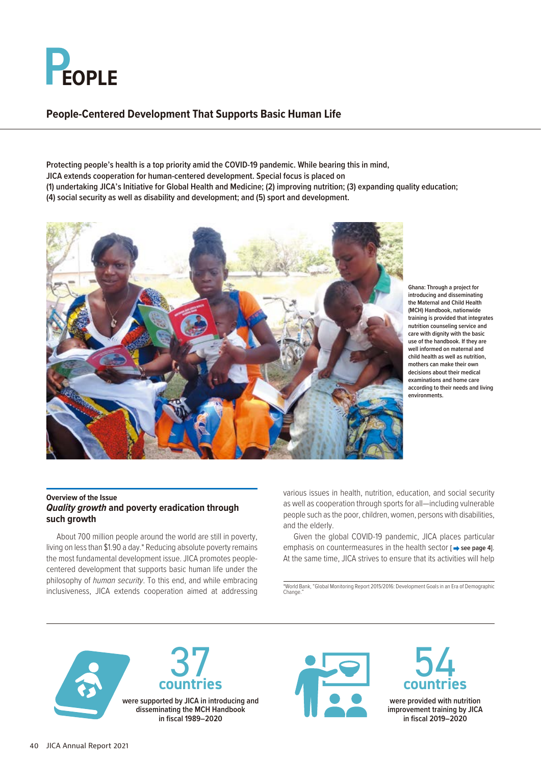

# **People-Centered Development That Supports Basic Human Life**

**Protecting people's health is a top priority amid the COVID-19 pandemic. While bearing this in mind, JICA extends cooperation for human-centered development. Special focus is placed on (1) undertaking JICA's Initiative for Global Health and Medicine; (2) improving nutrition; (3) expanding quality education; (4) social security as well as disability and development; and (5) sport and development.**



**Ghana: Through a project for introducing and disseminating the Maternal and Child Health (MCH) Handbook, nationwide training is provided that integrates nutrition counseling service and care with dignity with the basic use of the handbook. If they are well informed on maternal and child health as well as nutrition, mothers can make their own decisions about their medical examinations and home care according to their needs and living environments.**

# **Overview of the Issue** *Quality growth* **and poverty eradication through such growth**

About 700 million people around the world are still in poverty, living on less than \$1.90 a day.\* Reducing absolute poverty remains the most fundamental development issue. JICA promotes peoplecentered development that supports basic human life under the philosophy of *human security*. To this end, and while embracing inclusiveness, JICA extends cooperation aimed at addressing

various issues in health, nutrition, education, and social security as well as cooperation through sports for all—including vulnerable people such as the poor, children, women, persons with disabilities, and the elderly.

Given the global COVID-19 pandemic, JICA places particular emphasis on countermeasures in the health sector  $\mathbf{I} \rightarrow \mathbf{see}$  page 4]. At the same time, JICA strives to ensure that its activities will help

\*World Bank, "Global Monitoring Report 2015/2016: Development Goals in an Era of Demographic Change.







**were provided with nutrition improvement training by JICA in fiscal 2019–2020**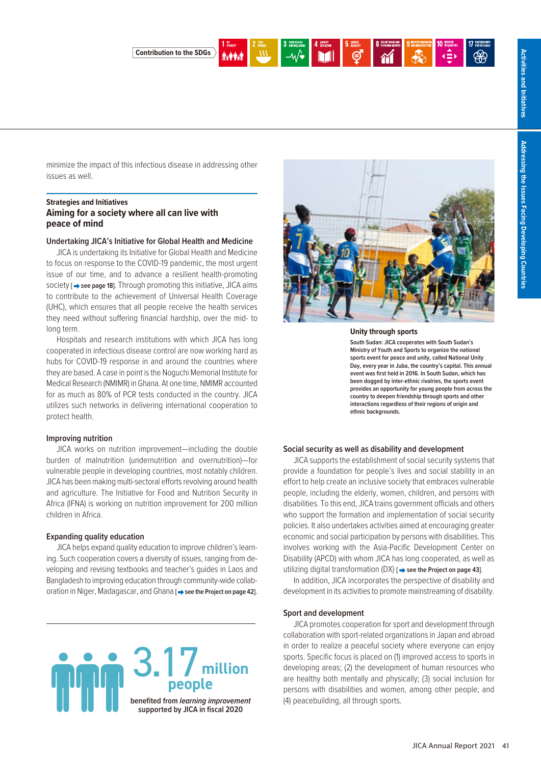

**Unity through sports**

**South Sudan: JICA cooperates with South Sudan's Ministry of Youth and Sports to organize the national sports event for peace and unity, called National Unity Day, every year in Juba, the country's capital. This annual event was first held in 2016. In South Sudan, which has been dogged by inter-ethnic rivalries, the sports event provides an opportunity for young people from across the country to deepen friendship through sports and other interactions regardless of their regions of origin and ethnic backgrounds.**

# **Social security as well as disability and development**

JICA supports the establishment of social security systems that provide a foundation for people's lives and social stability in an effort to help create an inclusive society that embraces vulnerable people, including the elderly, women, children, and persons with disabilities. To this end, JICA trains government officials and others who support the formation and implementation of social security policies. It also undertakes activities aimed at encouraging greater economic and social participation by persons with disabilities. This involves working with the Asia-Pacific Development Center on Disability (APCD) with whom JICA has long cooperated, as well as utilizing digital transformation (DX) [  $\rightarrow$  see the Project on page 43].

In addition, JICA incorporates the perspective of disability and development in its activities to promote mainstreaming of disability.

# **Sport and development**

JICA promotes cooperation for sport and development through collaboration with sport-related organizations in Japan and abroad in order to realize a peaceful society where everyone can enjoy sports. Specific focus is placed on (1) improved access to sports in developing areas; (2) the development of human resources who are healthy both mentally and physically; (3) social inclusion for persons with disabilities and women, among other people; and (4) peacebuilding, all through sports.

minimize the impact of this infectious disease in addressing other issues as well.

**Contribution to the SDGs**

3 AND WELL BEING

4 EDUCATION

 $\mathbf{e}$ 

# **Strategies and Initiatives Aiming for a society where all can live with peace of mind**

# **Undertaking JICA's Initiative for Global Health and Medicine**

JICA is undertaking its Initiative for Global Health and Medicine to focus on response to the COVID-19 pandemic, the most urgent issue of our time, and to advance a resilient health-promoting society **[** $\rightarrow$  **see page 18**]. Through promoting this initiative, JICA aims to contribute to the achievement of Universal Health Coverage (UHC), which ensures that all people receive the health services they need without suffering financial hardship, over the mid- to long term.

Hospitals and research institutions with which JICA has long cooperated in infectious disease control are now working hard as hubs for COVID-19 response in and around the countries where they are based. A case in point is the Noguchi Memorial Institute for Medical Research (NMIMR) in Ghana. At one time, NMIMR accounted for as much as 80% of PCR tests conducted in the country. JICA utilizes such networks in delivering international cooperation to protect health.

# **Improving nutrition**

JICA works on nutrition improvement—including the double burden of malnutrition (undernutrition and overnutrition)—for vulnerable people in developing countries, most notably children. JICA has been making multi-sectoral efforts revolving around health and agriculture. The Initiative for Food and Nutrition Security in Africa (IFNA) is working on nutrition improvement for 200 million children in Africa.

# **Expanding quality education**

JICA helps expand quality education to improve children's learning. Such cooperation covers a diversity of issues, ranging from developing and revising textbooks and teacher's guides in Laos and Bangladesh to improving education through community-wide collaboration in Niger, Madagascar, and Ghana [ $\rightarrow$  see the Project on page 42].

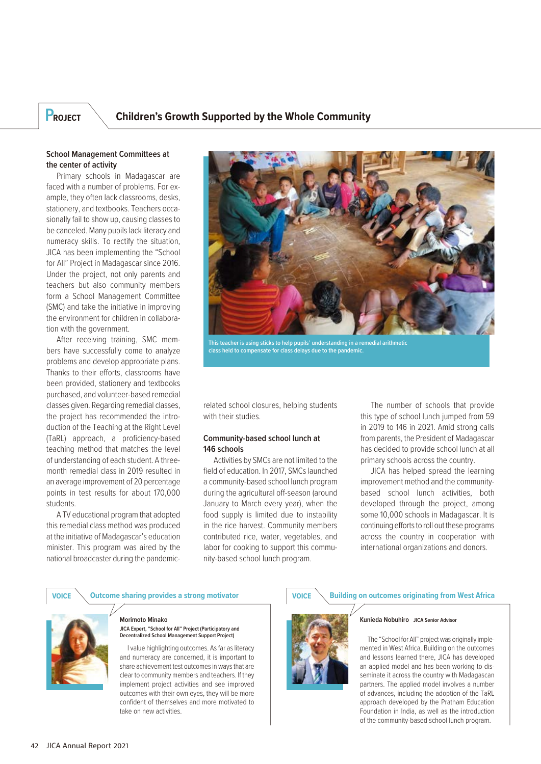# **PROJECT Children's Growth Supported by the Whole Community**

# **School Management Committees at the center of activity**

Primary schools in Madagascar are faced with a number of problems. For example, they often lack classrooms, desks, stationery, and textbooks. Teachers occasionally fail to show up, causing classes to be canceled. Many pupils lack literacy and numeracy skills. To rectify the situation, JICA has been implementing the "School for All" Project in Madagascar since 2016. Under the project, not only parents and teachers but also community members form a School Management Committee (SMC) and take the initiative in improving the environment for children in collaboration with the government.

After receiving training, SMC members have successfully come to analyze problems and develop appropriate plans. Thanks to their efforts, classrooms have been provided, stationery and textbooks purchased, and volunteer-based remedial classes given. Regarding remedial classes, the project has recommended the introduction of the Teaching at the Right Level (TaRL) approach, a proficiency-based teaching method that matches the level of understanding of each student. A threemonth remedial class in 2019 resulted in an average improvement of 20 percentage points in test results for about 170,000 students.

A TV educational program that adopted this remedial class method was produced at the initiative of Madagascar's education minister. This program was aired by the national broadcaster during the pandemic-



**This teacher is using sticks to help pupils' understanding in a remedial arithmetic class held to compensate for class delays due to the pandemic.**

related school closures, helping students with their studies

# **Community-based school lunch at 146 schools**

Activities by SMCs are not limited to the field of education. In 2017, SMCs launched a community-based school lunch program during the agricultural off-season (around January to March every year), when the food supply is limited due to instability in the rice harvest. Community members contributed rice, water, vegetables, and labor for cooking to support this community-based school lunch program.

The number of schools that provide this type of school lunch jumped from 59 in 2019 to 146 in 2021. Amid strong calls from parents, the President of Madagascar has decided to provide school lunch at all primary schools across the country.

JICA has helped spread the learning improvement method and the communitybased school lunch activities, both developed through the project, among some 10,000 schools in Madagascar. It is continuing efforts to roll out these programs across the country in cooperation with international organizations and donors.



## **Morimoto Minako JICA Expert, "School for All" Project (Participatory and Decentralized School Management Support Project)**

I value highlighting outcomes. As far as literacy and numeracy are concerned, it is important to share achievement test outcomes in ways that are clear to community members and teachers. If they implement project activities and see improved outcomes with their own eyes, they will be more confident of themselves and more motivated to take on new activities.

# **VOICE Outcome sharing provides a strong motivator VOICE Building on outcomes originating from West Africa**



# **Kunieda Nobuhiro JICA Senior Advisor**

The "School for All" project was originally implemented in West Africa. Building on the outcomes and lessons learned there, JICA has developed an applied model and has been working to disseminate it across the country with Madagascan partners. The applied model involves a number of advances, including the adoption of the TaRL approach developed by the Pratham Education Foundation in India, as well as the introduction of the community-based school lunch program.